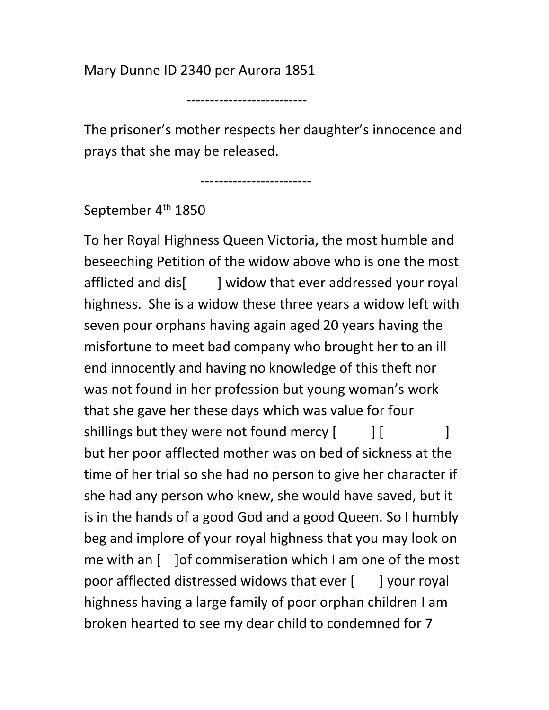Mary Dunne ID 2340 per Aurora 1851

The prisoner's mother respects her daughter's innocence and prays that she may be released.

------------------------

--------------------------

September 4<sup>th</sup> 1850

To her Royal Highness Queen Victoria, the most humble and beseeching Petition of the widow above who is one the most afflicted and dis[ ] widow that ever addressed your royal highness. She is a widow these three years a widow left with seven pour orphans having again aged 20 years having the misfortune to meet bad company who brought her to an ill end innocently and having no knowledge of this theft nor was not found in her profession but young woman's work that she gave her these days which was value for four shillings but they were not found mercy [ ] [ ] but her poor afflected mother was on bed of sickness at the time of her trial so she had no person to give her character if she had any person who knew, she would have saved, but it is in the hands of a good God and a good Queen. So I humbly beg and implore of your royal highness that you may look on me with an [ ]of commiseration which I am one of the most poor afflected distressed widows that ever [ ] your royal highness having a large family of poor orphan children I am broken hearted to see my dear child to condemned for 7